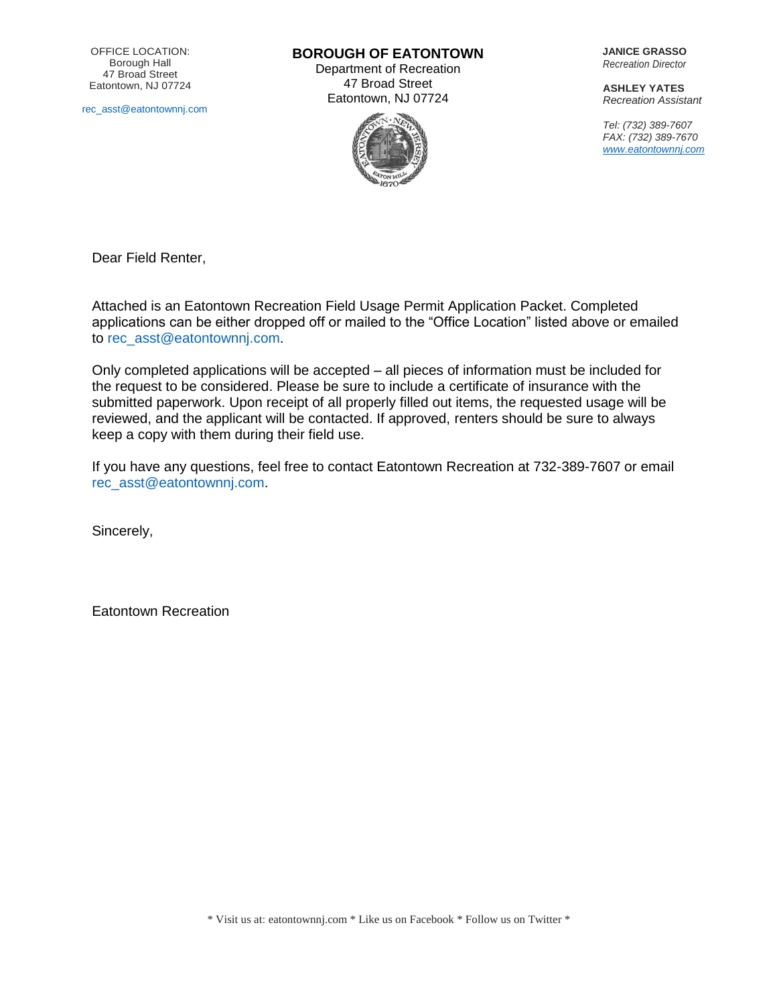[rec\\_asst@eatontownnj.com](mailto:rec_asst@eatontownnj.com)

**BOROUGH OF EATONTOWN**

Department of Recreation 47 Broad Street Eatontown, NJ 07724



**JANICE GRASSO** *Recreation Director*

**ASHLEY YATES** *Recreation Assistant*

*Tel: (732) 389-7607 FAX: (732) 389-7670 [www.eatontownnj.com](http://www.eatontownnj.com/)*

Dear Field Renter,

Attached is an Eatontown Recreation Field Usage Permit Application Packet. Completed applications can be either dropped off or mailed to the "Office Location" listed above or emailed to [rec\\_asst@eatontownnj.com.](mailto:rec_asst@eatontownnj.com)

Only completed applications will be accepted – all pieces of information must be included for the request to be considered. Please be sure to include a certificate of insurance with the submitted paperwork. Upon receipt of all properly filled out items, the requested usage will be reviewed, and the applicant will be contacted. If approved, renters should be sure to always keep a copy with them during their field use.

If you have any questions, feel free to contact Eatontown Recreation at 732-389-7607 or email [rec\\_asst@eatontownnj.com.](mailto:rec_asst@eatontownnj.com)

Sincerely,

Eatontown Recreation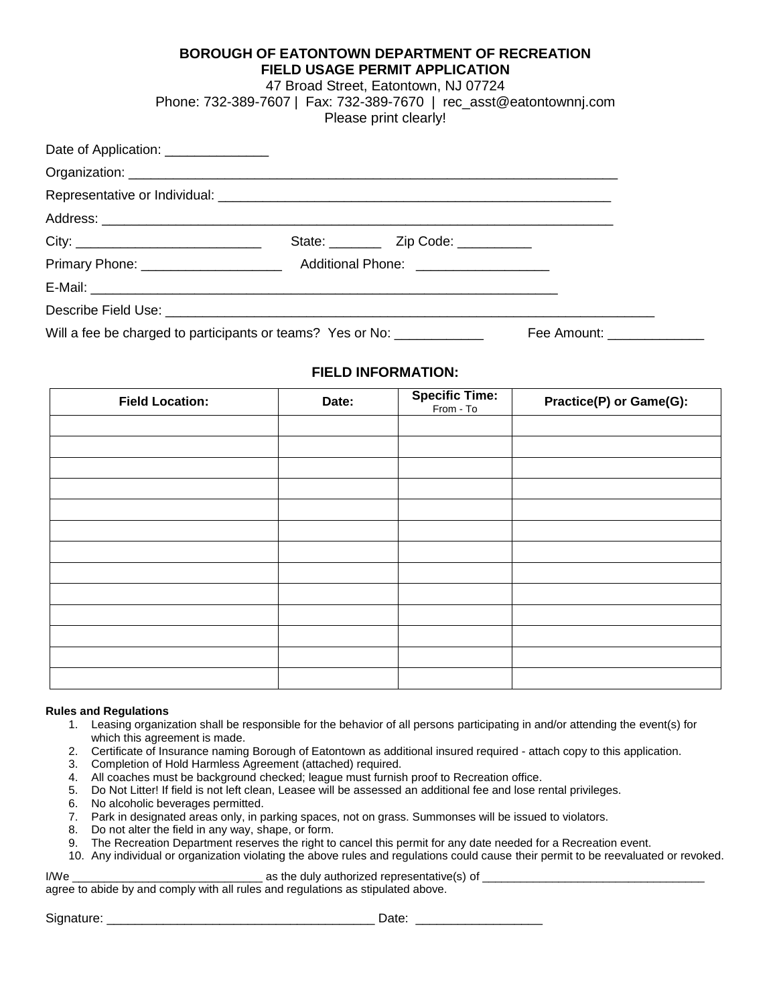# **BOROUGH OF EATONTOWN DEPARTMENT OF RECREATION FIELD USAGE PERMIT APPLICATION**

# 47 Broad Street, Eatontown, NJ 07724

Phone: 732-389-7607 | Fax: 732-389-7670 | rec\_asst@eatontownnj.com

Please print clearly!

| Date of Application: ________________                      |  |                                            |                            |  |
|------------------------------------------------------------|--|--------------------------------------------|----------------------------|--|
|                                                            |  |                                            |                            |  |
|                                                            |  |                                            |                            |  |
|                                                            |  |                                            |                            |  |
| City:                                                      |  | State: ____________ Zip Code: ____________ |                            |  |
|                                                            |  |                                            |                            |  |
|                                                            |  |                                            |                            |  |
|                                                            |  |                                            |                            |  |
| Will a fee be charged to participants or teams? Yes or No: |  |                                            | Fee Amount: ______________ |  |

# **FIELD INFORMATION:**

| <b>Field Location:</b> | Date: | <b>Specific Time:</b><br>From - To | Practice(P) or Game(G): |
|------------------------|-------|------------------------------------|-------------------------|
|                        |       |                                    |                         |
|                        |       |                                    |                         |
|                        |       |                                    |                         |
|                        |       |                                    |                         |
|                        |       |                                    |                         |
|                        |       |                                    |                         |
|                        |       |                                    |                         |
|                        |       |                                    |                         |
|                        |       |                                    |                         |
|                        |       |                                    |                         |
|                        |       |                                    |                         |
|                        |       |                                    |                         |
|                        |       |                                    |                         |

### **Rules and Regulations**

- 1. Leasing organization shall be responsible for the behavior of all persons participating in and/or attending the event(s) for which this agreement is made.
- 2. Certificate of Insurance naming Borough of Eatontown as additional insured required attach copy to this application.
- 3. Completion of Hold Harmless Agreement (attached) required.
- 4. All coaches must be background checked; league must furnish proof to Recreation office.
- 5. Do Not Litter! If field is not left clean, Leasee will be assessed an additional fee and lose rental privileges.
- 6. No alcoholic beverages permitted.
- 7. Park in designated areas only, in parking spaces, not on grass. Summonses will be issued to violators.
- 8. Do not alter the field in any way, shape, or form.
- 9. The Recreation Department reserves the right to cancel this permit for any date needed for a Recreation event.
- 10. Any individual or organization violating the above rules and regulations could cause their permit to be reevaluated or revoked.

I/We example a state duly authorized representative(s) of  $\blacksquare$ agree to abide by and comply with all rules and regulations as stipulated above.

Signature: \_\_\_\_\_\_\_\_\_\_\_\_\_\_\_\_\_\_\_\_\_\_\_\_\_\_\_\_\_\_\_\_\_\_\_\_\_\_ Date: \_\_\_\_\_\_\_\_\_\_\_\_\_\_\_\_\_\_